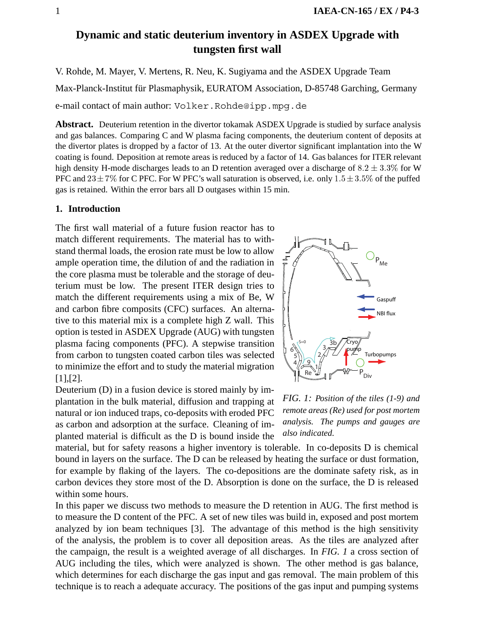# **Dynamic and static deuterium inventory in ASDEX Upgrade with tungsten first wall**

V. Rohde, M. Mayer, V. Mertens, R. Neu, K. Sugiyama and the ASDEX Upgrade Team

Max-Planck-Institut für Plasmaphysik, EURATOM Association, D-85748 Garching, Germany

e-mail contact of main author: Volker.Rohde@ipp.mpg.de

**Abstract.** Deuterium retention in the divertor tokamak ASDEX Upgrade is studied by surface analysis and gas balances. Comparing C and W plasma facing components, the deuterium content of deposits at the divertor plates is dropped by a factor of 13. At the outer divertor significant implantation into the W coating is found. Deposition at remote areas is reduced by a factor of 14. Gas balances for ITER relevant high density H-mode discharges leads to an D retention averaged over a discharge of  $8.2 \pm 3.3\%$  for W PFC and  $23 \pm 7\%$  for C PFC. For W PFC's wall saturation is observed, i.e. only  $1.5 \pm 3.5\%$  of the puffed gas is retained. Within the error bars all D outgases within 15 min.

# **1. Introduction**

The first wall material of a future fusion reactor has to match different requirements. The material has to withstand thermal loads, the erosion rate must be low to allow ample operation time, the dilution of and the radiation in the core plasma must be tolerable and the storage of deuterium must be low. The present ITER design tries to match the different requirements using a mix of Be, W and carbon fibre composits (CFC) surfaces. An alternative to this material mix is a complete high Z wall. This option is tested in ASDEX Upgrade (AUG) with tungsten plasma facing components (PFC). A stepwise transition from carbon to tungsten coated carbon tiles was selected to minimize the effort and to study the material migration [1],[2].

Deuterium (D) in a fusion device is stored mainly by implantation in the bulk material, diffusion and trapping at natural or ion induced traps, co-deposits with eroded PFC as carbon and adsorption at the surface. Cleaning of implanted material is difficult as the D is bound inside the



*FIG. 1: Position of the tiles (1-9) and remote areas (Re) used for post mortem analysis. The pumps and gauges are also indicated.*

material, but for safety reasons a higher inventory is tolerable. In co-deposits D is chemical bound in layers on the surface. The D can be released by heating the surface or dust formation, for example by flaking of the layers. The co-depositions are the dominate safety risk, as in carbon devices they store most of the D. Absorption is done on the surface, the D is released within some hours.

In this paper we discuss two methods to measure the D retention in AUG. The first method is to measure the D content of the PFC. A set of new tiles was build in, exposed and post mortem analyzed by ion beam techniques [3]. The advantage of this method is the high sensitivity of the analysis, the problem is to cover all deposition areas. As the tiles are analyzed after the campaign, the result is a weighted average of all discharges. In *FIG. 1* a cross section of AUG including the tiles, which were analyzed is shown. The other method is gas balance, which determines for each discharge the gas input and gas removal. The main problem of this technique is to reach a adequate accuracy. The positions of the gas input and pumping systems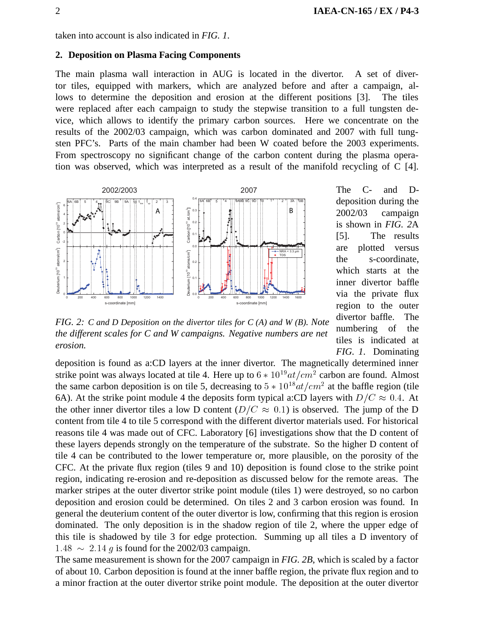# **2. Deposition on Plasma Facing Components**

The main plasma wall interaction in AUG is located in the divertor. A set of divertor tiles, equipped with markers, which are analyzed before and after a campaign, allows to determine the deposition and erosion at the different positions [3]. The tiles were replaced after each campaign to study the stepwise transition to a full tungsten device, which allows to identify the primary carbon sources. Here we concentrate on the results of the 2002/03 campaign, which was carbon dominated and 2007 with full tungsten PFC's. Parts of the main chamber had been W coated before the 2003 experiments. From spectroscopy no significant change of the carbon content during the plasma operation was observed, which was interpreted as a result of the manifold recycling of C [4].



The C- and Ddeposition during the 2002/03 campaign is shown in *FIG. 2*A [5]. The results are plotted versus the s-coordinate, which starts at the inner divertor baffle via the private flux region to the outer divertor baffle. The numbering of the tiles is indicated at *FIG. 1*. Dominating

*FIG. 2: C and D Deposition on the divertor tiles for C (A) and W (B). Note the different scales for C and W campaigns. Negative numbers are net erosion.*

deposition is found as a:CD layers at the inner divertor. The magnetically determined inner strike point was always located at tile 4. Here up to  $6 * 10^{19} at/cm^2$  carbon are found. Almost the same carbon deposition is on tile 5, decreasing to  $5 * 10^{18} at/cm^2$  at the baffle region (tile 6A). At the strike point module 4 the deposits form typical a:CD layers with  $D/C \approx 0.4$ . At the other inner divertor tiles a low D content ( $D/C \approx 0.1$ ) is observed. The jump of the D content from tile 4 to tile 5 correspond with the different divertor materials used. For historical reasons tile 4 was made out of CFC. Laboratory [6] investigations show that the D content of these layers depends strongly on the temperature of the substrate. So the higher D content of tile 4 can be contributed to the lower temperature or, more plausible, on the porosity of the CFC. At the private flux region (tiles 9 and 10) deposition is found close to the strike point region, indicating re-erosion and re-deposition as discussed below for the remote areas. The marker stripes at the outer divertor strike point module (tiles 1) were destroyed, so no carbon deposition and erosion could be determined. On tiles 2 and 3 carbon erosion was found. In general the deuterium content of the outer divertor is low, confirming that this region is erosion dominated. The only deposition is in the shadow region of tile 2, where the upper edge of this tile is shadowed by tile 3 for edge protection. Summing up all tiles a D inventory of  $1.48 \sim 2.14$  g is found for the 2002/03 campaign.

The same measurement is shown for the 2007 campaign in *FIG. 2B*, which is scaled by a factor of about 10. Carbon deposition is found at the inner baffle region, the private flux region and to a minor fraction at the outer divertor strike point module. The deposition at the outer divertor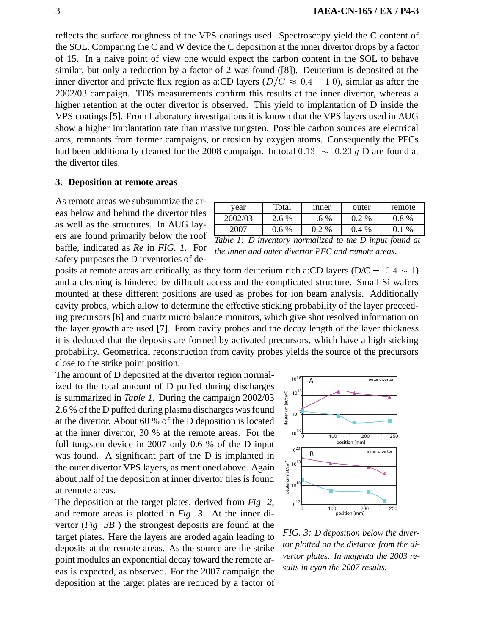reflects the surface roughness of the VPS coatings used. Spectroscopy yield the C content of the SOL. Comparing the C and W device the C deposition at the inner divertor drops by a factor of 15. In a naive point of view one would expect the carbon content in the SOL to behave similar, but only a reduction by a factor of 2 was found ([8]). Deuterium is deposited at the inner divertor and private flux region as a:CD layers ( $D/C \approx 0.4 - 1.0$ ), similar as after the 2002/03 campaign. TDS measurements confirm this results at the inner divertor, whereas a higher retention at the outer divertor is observed. This yield to implantation of D inside the VPS coatings [5]. From Laboratory investigations it is known that the VPS layers used in AUG show a higher implantation rate than massive tungsten. Possible carbon sources are electrical arcs, remnants from former campaigns, or erosion by oxygen atoms. Consequently the PFCs had been additionally cleaned for the 2008 campaign. In total  $0.13 \sim 0.20$  g D are found at the divertor tiles.

# **3. Deposition at remote areas**

As remote areas we subsummize the areas below and behind the divertor tiles as well as the structures. In AUG layers are found primarily below the roof baffle, indicated as *Re* in *FIG. 1*. For safety purposes the D inventories of de-

| year                                                        | Total   | inner   | outer   | remote  |  |
|-------------------------------------------------------------|---------|---------|---------|---------|--|
| 2002/03                                                     | 2.6 %   | $1.6\%$ | $0.2\%$ | $0.8\%$ |  |
| 2007                                                        | $0.6\%$ | $0.2\%$ | $0.4\%$ | $0.1\%$ |  |
| Table 1: $D$ inventory normalized to the $D$ input found at |         |         |         |         |  |

*the inner and outer divertor PFC and remote areas*.

posits at remote areas are critically, as they form deuterium rich a:CD layers ( $D/C = 0.4 \sim 1$ ) and a cleaning is hindered by difficult access and the complicated structure. Small Si wafers mounted at these different positions are used as probes for ion beam analysis. Additionally cavity probes, which allow to determine the effective sticking probability of the layer preceeding precursors [6] and quartz micro balance monitors, which give shot resolved information on the layer growth are used [7]. From cavity probes and the decay length of the layer thickness it is deduced that the deposits are formed by activated precursors, which have a high sticking probability. Geometrical reconstruction from cavity probes yields the source of the precursors close to the strike point position.

The amount of D deposited at the divertor region normalized to the total amount of D puffed during discharges is summarized in *Table 1*. During the campaign 2002/03 2.6 % of the D puffed during plasma discharges was found at the divertor. About 60 % of the D deposition is located at the inner divertor, 30 % at the remote areas. For the full tungsten device in 2007 only 0.6 % of the D input was found. A significant part of the D is implanted in the outer divertor VPS layers, as mentioned above. Again about half of the deposition at inner divertor tiles is found at remote areas.

The deposition at the target plates, derived from *Fig 2*, and remote areas is plotted in *Fig 3*. At the inner divertor (*Fig 3B* ) the strongest deposits are found at the target plates. Here the layers are eroded again leading to deposits at the remote areas. As the source are the strike point modules an exponential decay toward the remote areas is expected, as observed. For the 2007 campaign the deposition at the target plates are reduced by a factor of



*FIG. 3: D deposition below the divertor plotted on the distance from the divertor plates. In magenta the 2003 results in cyan the 2007 results.*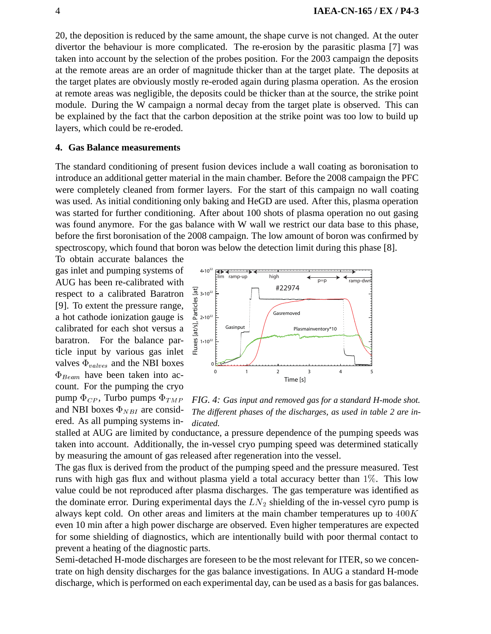20, the deposition is reduced by the same amount, the shape curve is not changed. At the outer divertor the behaviour is more complicated. The re-erosion by the parasitic plasma [7] was taken into account by the selection of the probes position. For the 2003 campaign the deposits at the remote areas are an order of magnitude thicker than at the target plate. The deposits at the target plates are obviously mostly re-eroded again during plasma operation. As the erosion at remote areas was negligible, the deposits could be thicker than at the source, the strike point module. During the W campaign a normal decay from the target plate is observed. This can be explained by the fact that the carbon deposition at the strike point was too low to build up layers, which could be re-eroded.

#### **4. Gas Balance measurements**

The standard conditioning of present fusion devices include a wall coating as boronisation to introduce an additional getter material in the main chamber. Before the 2008 campaign the PFC were completely cleaned from former layers. For the start of this campaign no wall coating was used. As initial conditioning only baking and HeGD are used. After this, plasma operation was started for further conditioning. After about 100 shots of plasma operation no out gasing was found anymore. For the gas balance with W wall we restrict our data base to this phase, before the first boronisation of the 2008 campaign. The low amount of boron was confirmed by spectroscopy, which found that boron was below the detection limit during this phase [8].

To obtain accurate balances the gas inlet and pumping systems of AUG has been re-calibrated with respect to a calibrated Baratron [9]. To extent the pressure range, a hot cathode ionization gauge is calibrated for each shot versus a baratron. For the balance particle input by various gas inlet valves  $\Phi_{values}$  and the NBI boxes  $\Phi_{Beam}$  have been taken into account. For the pumping the cryo pump  $\Phi_{CP}$ , Turbo pumps  $\Phi$ and NBI boxes  $\Phi_{NBI}$  are considered. As all pumping systems in-



*FIG. 4: Gas input and removed gas for a standard H-mode shot. The different phases of the discharges, as used in table 2 are indicated.*

stalled at AUG are limited by conductance, a pressure dependence of the pumping speeds was taken into account. Additionally, the in-vessel cryo pumping speed was determined statically by measuring the amount of gas released after regeneration into the vessel.

The gas flux is derived from the product of the pumping speed and the pressure measured. Test runs with high gas flux and without plasma yield a total accuracy better than  $1\%$ . This low value could be not reproduced after plasma discharges. The gas temperature was identified as the dominate error. During experimental days the  $LN_2$  shielding of the in-vessel cyro pump is always kept cold. On other areas and limiters at the main chamber temperatures up to  $400K$ even 10 min after a high power discharge are observed. Even higher temperatures are expected for some shielding of diagnostics, which are intentionally build with poor thermal contact to prevent a heating of the diagnostic parts.

Semi-detached H-mode discharges are foreseen to be the most relevant for ITER, so we concentrate on high density discharges for the gas balance investigations. In AUG a standard H-mode discharge, which is performed on each experimental day, can be used as a basis for gas balances.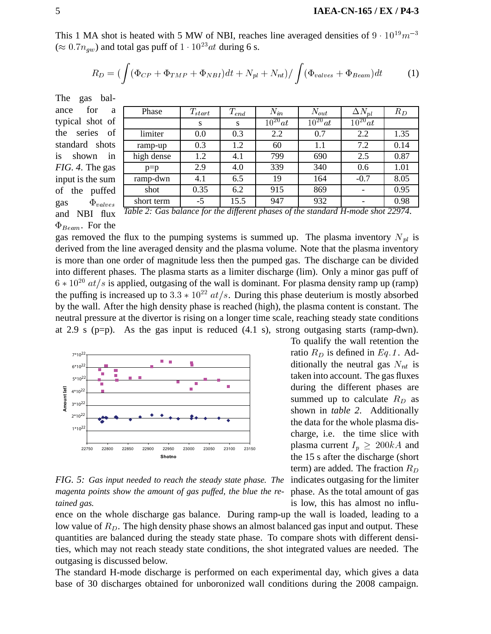This 1 MA shot is heated with 5 MW of NBI, reaches line averaged densities of  $9 \cdot 10^{19} m^{-3}$  $(\approx 0.7n_{qw})$  and total gas puff of  $1 \cdot 10^{23}at$  during 6 s.

$$
R_D = \left( \int (\Phi_{CP} + \Phi_{TMP} + \Phi_{NBI}) dt + N_{pl} + N_{nt} \right) / \int (\Phi_{values} + \Phi_{Beam}) dt \tag{1}
$$

The gas balance for

| for<br>ance<br>a       |                                                                                 |             |           |             |             |                          |       |
|------------------------|---------------------------------------------------------------------------------|-------------|-----------|-------------|-------------|--------------------------|-------|
|                        | Phase                                                                           | $T_{start}$ | $T_{end}$ | $N_{in}$    | $N_{out}$   | $\Delta N_{pl}$          | $R_D$ |
| typical shot of        |                                                                                 | S           | S         | $10^{20}at$ | $10^{20}at$ | $10^{20}at$              |       |
| the series of          | limiter                                                                         | 0.0         | 0.3       | 2.2         | 0.7         | 2.2                      | 1.35  |
| standard shots         | ramp-up                                                                         | 0.3         | 1.2       | 60          | 1.1         | 7.2                      | 0.14  |
| is<br>in<br>shown      | high dense                                                                      | 1.2         | 4.1       | 799         | 690         | 2.5                      | 0.87  |
| <i>FIG. 4.</i> The gas | $p=p$                                                                           | 2.9         | 4.0       | 339         | 340         | 0.6                      | 1.01  |
| input is the sum       | ramp-dwn                                                                        | 4.1         | 6.5       | 19          | 164         | $-0.7$                   | 8.05  |
| of the<br>puffed       | shot                                                                            | 0.35        | 6.2       | 915         | 869         |                          | 0.95  |
| $\Phi_{values}$<br>gas | short term                                                                      | $-5$        | 15.5      | 947         | 932         | $\overline{\phantom{a}}$ | 0.98  |
| 1.3T T T               | Table 2: Gas halance for the different phases of the standard H-mode shot 22074 |             |           |             |             |                          |       |

of the puffe gas  $\Phi_{valve}$ and NBI flux  $\Phi_{Beam}$ . For the

| Table 2: Gas balance for the different phases of the standard H-mode shot 22974. |  |  |
|----------------------------------------------------------------------------------|--|--|
|                                                                                  |  |  |

gas removed the flux to the pumping systems is summed up. The plasma inventory  $N_{pl}$  is derived from the line averaged density and the plasma volume. Note that the plasma inventory is more than one order of magnitude less then the pumped gas. The discharge can be divided into different phases. The plasma starts as a limiter discharge (lim). Only a minor gas puff of  $6 * 10<sup>20</sup>$  at/s is applied, outgasing of the wall is dominant. For plasma density ramp up (ramp) the puffing is increased up to  $3.3 * 10^{22}$   $at/s$ . During this phase deuterium is mostly absorbed by the wall. After the high density phase is reached (high), the plasma content is constant. The neutral pressure at the divertor is rising on a longer time scale, reaching steady state conditions at 2.9 s ( $p=p$ ). As the gas input is reduced  $(4.1 \text{ s})$ , strong outgasing starts (ramp-dwn).



*FIG. 5: Gas input needed to reach the steady state phase. The* indicates outgasing for the limiter *magenta points show the amount of gas puffed, the blue the retained gas.*

To qualify the wall retention the ratio  $R_D$  is defined in  $Eq.1$ . Additionally the neutral gas  $N_{nt}$  is taken into account. The gas fluxes during the different phases are summed up to calculate  $R_D$  as shown in *table 2*. Additionally the data for the whole plasma discharge, i.e. the time slice with plasma current  $I_p \geq 200kA$  and the 15 s after the discharge (short term) are added. The fraction  $R_D$ phase. As the total amount of gas is low, this has almost no influ-

ence on the whole discharge gas balance. During ramp-up the wall is loaded, leading to a low value of  $R<sub>D</sub>$ . The high density phase shows an almost balanced gas input and output. These quantities are balanced during the steady state phase. To compare shots with different densities, which may not reach steady state conditions, the shot integrated values are needed. The outgasing is discussed below.

The standard H-mode discharge is performed on each experimental day, which gives a data base of 30 discharges obtained for unboronized wall conditions during the 2008 campaign.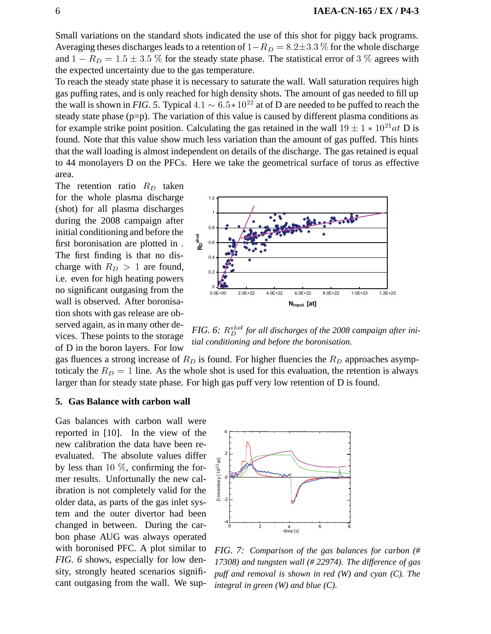Small variations on the standard shots indicated the use of this shot for piggy back programs. Averaging theses discharges leads to a retention of  $1 - R_D = 8.2 \pm 3.3$  % for the whole discharge and  $1 - R_D = 1.5 \pm 3.5$  % for the steady state phase. The statistical error of 3 % agrees with the expected uncertainty due to the gas temperature.

To reach the steady state phase it is necessary to saturate the wall. Wall saturation requires high gas puffing rates, and is only reached for high density shots. The amount of gas needed to fill up the wall is shown in *FIG*. 5. Typical  $4.1 \sim 6.5 * 10^{22}$  at of D are needed to be puffed to reach the steady state phase (p=p). The variation of this value is caused by different plasma conditions as for example strike point position. Calculating the gas retained in the wall  $19 \pm 1 * 10^{21}at$  D is found. Note that this value show much less variation than the amount of gas puffed. This hints that the wall loading is almost independent on details of the discharge. The gas retained is equal to 44 monolayers D on the PFCs. Here we take the geometrical surface of torus as effective area.

The retention ratio  $R_D$  taken for the whole plasma discharge (shot) for all plasma discharges during the 2008 campaign after initial conditioning and before the first boronisation are plotted in . The first finding is that no discharge with  $R_D > 1$  are found, i.e. even for high heating powers no significant outgasing from the wall is observed. After boronisation shots with gas release are observed again, as in many other devices. These points to the storage of D in the boron layers. For low



FIG. 6:  $R_D^{shot}$  for all discharges of the 2008 campaign after ini*tial conditioning and before the boronisation.*

gas fluences a strong increase of  $R<sub>D</sub>$  is found. For higher fluencies the  $R<sub>D</sub>$  approaches asymptoticaly the  $R_D = 1$  line. As the whole shot is used for this evaluation, the retention is always larger than for steady state phase. For high gas puff very low retention of D is found.

# **5. Gas Balance with carbon wall**

Gas balances with carbon wall were reported in [10]. In the view of the new calibration the data have been reevaluated. The absolute values differ by less than  $10\%$ , confirming the former results. Unfortunally the new calibration is not completely valid for the older data, as parts of the gas inlet system and the outer divertor had been changed in between. During the carbon phase AUG was always operated with boronised PFC. A plot similar to *FIG. 6* shows, especially for low density, strongly heated scenarios significant outgasing from the wall. We sup-



*FIG. 7: Comparison of the gas balances for carbon (# 17308) and tungsten wall (# 22974). The difference of gas puff and removal is shown in red (W) and cyan (C). The integral in green (W) and blue (C).*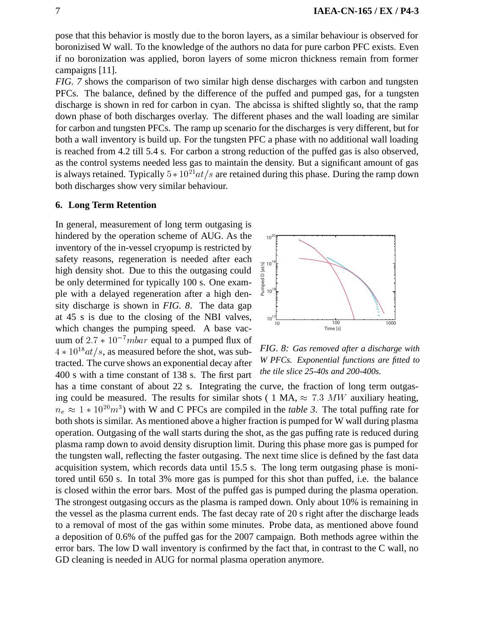pose that this behavior is mostly due to the boron layers, as a similar behaviour is observed for boronizised W wall. To the knowledge of the authors no data for pure carbon PFC exists. Even if no boronization was applied, boron layers of some micron thickness remain from former campaigns [11].

*FIG. 7* shows the comparison of two similar high dense discharges with carbon and tungsten PFCs. The balance, defined by the difference of the puffed and pumped gas, for a tungsten discharge is shown in red for carbon in cyan. The abcissa is shifted slightly so, that the ramp down phase of both discharges overlay. The different phases and the wall loading are similar for carbon and tungsten PFCs. The ramp up scenario for the discharges is very different, but for both a wall inventory is build up. For the tungsten PFC a phase with no additional wall loading is reached from 4.2 till 5.4 s. For carbon a strong reduction of the puffed gas is also observed, as the control systems needed less gas to maintain the density. But a significant amount of gas is always retained. Typically  $5*10^{21}at/s$  are retained during this phase. During the ramp down both discharges show very similar behaviour.

#### **6. Long Term Retention**

In general, measurement of long term outgasing is hindered by the operation scheme of AUG. As the inventory of the in-vessel cryopump is restricted by safety reasons, regeneration is needed after each high density shot. Due to this the outgasing could be only determined for typically 100 s. One example with a delayed regeneration after a high density discharge is shown in *FIG. 8*. The data gap at 45 s is due to the closing of the NBI valves, which changes the pumping speed. A base vacuum of  $2.7 * 10^{-7} mbar$  equal to a pumped flux of  $4 * 10^{18} at/s$ , as measured before the shot, was subtracted. The curve shows an exponential decay after 400 s with a time constant of 138 s. The first part



*FIG. 8: Gas removed after a discharge with W PFCs. Exponential functions are fitted to the tile slice 25-40s and 200-400s.*

has a time constant of about 22 s. Integrating the curve, the fraction of long term outgasing could be measured. The results for similar shots (1 MA,  $\approx 7.3$  MW auxiliary heating,  $n_e \approx 1 * 10^{20} m^3$ ) with W and C PFCs are compiled in the *table 3*. The total puffing rate for both shots is similar. As mentioned above a higher fraction is pumped for W wall during plasma operation. Outgasing of the wall starts during the shot, as the gas puffing rate is reduced during plasma ramp down to avoid density disruption limit. During this phase more gas is pumped for the tungsten wall, reflecting the faster outgasing. The next time slice is defined by the fast data acquisition system, which records data until 15.5 s. The long term outgasing phase is monitored until 650 s. In total 3% more gas is pumped for this shot than puffed, i.e. the balance is closed within the error bars. Most of the puffed gas is pumped during the plasma operation. The strongest outgasing occurs as the plasma is ramped down. Only about 10% is remaining in the vessel as the plasma current ends. The fast decay rate of 20 s right after the discharge leads to a removal of most of the gas within some minutes. Probe data, as mentioned above found a deposition of 0.6% of the puffed gas for the 2007 campaign. Both methods agree within the error bars. The low D wall inventory is confirmed by the fact that, in contrast to the C wall, no GD cleaning is needed in AUG for normal plasma operation anymore.